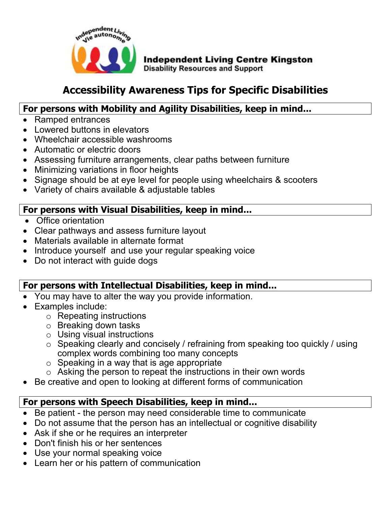

# **Accessibility Awareness Tips for Specific Disabilities**

#### **For persons with Mobility and Agility Disabilities, keep in mind...**

- Ramped entrances
- Lowered buttons in elevators
- Wheelchair accessible washrooms
- Automatic or electric doors
- Assessing furniture arrangements, clear paths between furniture
- Minimizing variations in floor heights
- Signage should be at eye level for people using wheelchairs & scooters
- Variety of chairs available & adjustable tables

#### **For persons with Visual Disabilities, keep in mind...**

- Office orientation
- Clear pathways and assess furniture layout
- Materials available in alternate format
- Introduce yourself and use your regular speaking voice
- Do not interact with guide dogs

#### **For persons with Intellectual Disabilities, keep in mind...**

- You may have to alter the way you provide information.
- Examples include:
	- o Repeating instructions
	- o Breaking down tasks
	- o Using visual instructions
	- o Speaking clearly and concisely / refraining from speaking too quickly / using complex words combining too many concepts
	- $\circ$  Speaking in a way that is age appropriate
	- o Asking the person to repeat the instructions in their own words
- Be creative and open to looking at different forms of communication

## **For persons with Speech Disabilities, keep in mind...**

- Be patient the person may need considerable time to communicate
- Do not assume that the person has an intellectual or cognitive disability
- Ask if she or he requires an interpreter
- Don't finish his or her sentences
- Use your normal speaking voice
- Learn her or his pattern of communication